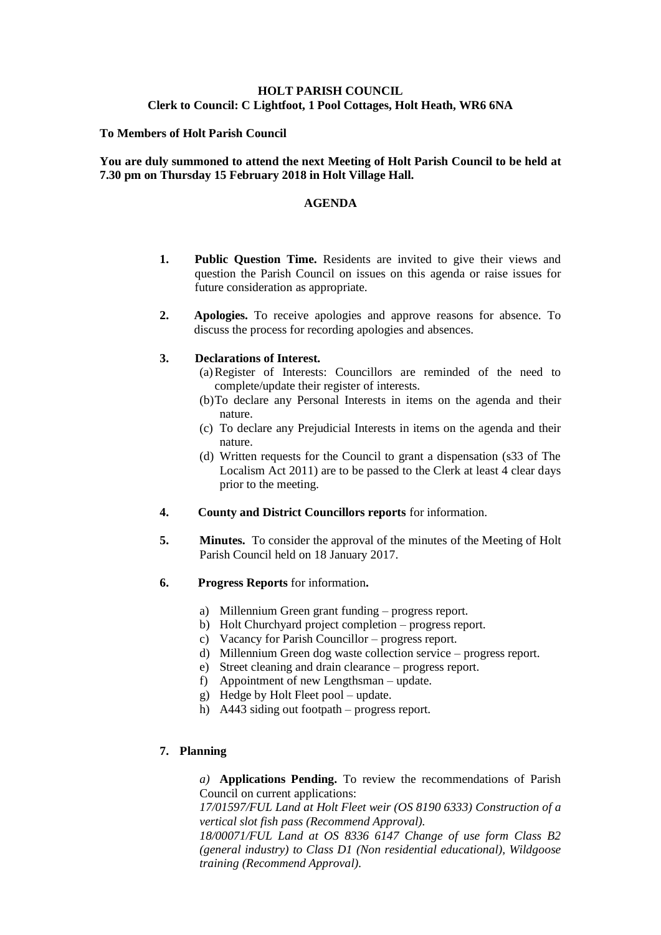# **HOLT PARISH COUNCIL Clerk to Council: C Lightfoot, 1 Pool Cottages, Holt Heath, WR6 6NA**

## **To Members of Holt Parish Council**

## **You are duly summoned to attend the next Meeting of Holt Parish Council to be held at 7.30 pm on Thursday 15 February 2018 in Holt Village Hall.**

## **AGENDA**

- **1. Public Question Time.** Residents are invited to give their views and question the Parish Council on issues on this agenda or raise issues for future consideration as appropriate.
- **2. Apologies.** To receive apologies and approve reasons for absence. To discuss the process for recording apologies and absences.

#### **3. Declarations of Interest.**

- (a)Register of Interests: Councillors are reminded of the need to complete/update their register of interests.
- (b)To declare any Personal Interests in items on the agenda and their nature.
- (c) To declare any Prejudicial Interests in items on the agenda and their nature.
- (d) Written requests for the Council to grant a dispensation (s33 of The Localism Act 2011) are to be passed to the Clerk at least 4 clear days prior to the meeting.
- **4. County and District Councillors reports** for information.
- **5. Minutes.** To consider the approval of the minutes of the Meeting of Holt Parish Council held on 18 January 2017.
- **6. Progress Reports** for information**.**
	- a) Millennium Green grant funding progress report.
	- b) Holt Churchyard project completion progress report.
	- c) Vacancy for Parish Councillor progress report.
	- d) Millennium Green dog waste collection service progress report.
	- e) Street cleaning and drain clearance progress report.
	- f) Appointment of new Lengthsman update.
	- g) Hedge by Holt Fleet pool update.
	- h) A443 siding out footpath progress report.

## **7. Planning**

*a)* **Applications Pending.** To review the recommendations of Parish Council on current applications:

*17/01597/FUL Land at Holt Fleet weir (OS 8190 6333) Construction of a vertical slot fish pass (Recommend Approval).*

*18/00071/FUL Land at OS 8336 6147 Change of use form Class B2 (general industry) to Class D1 (Non residential educational), Wildgoose training (Recommend Approval).*